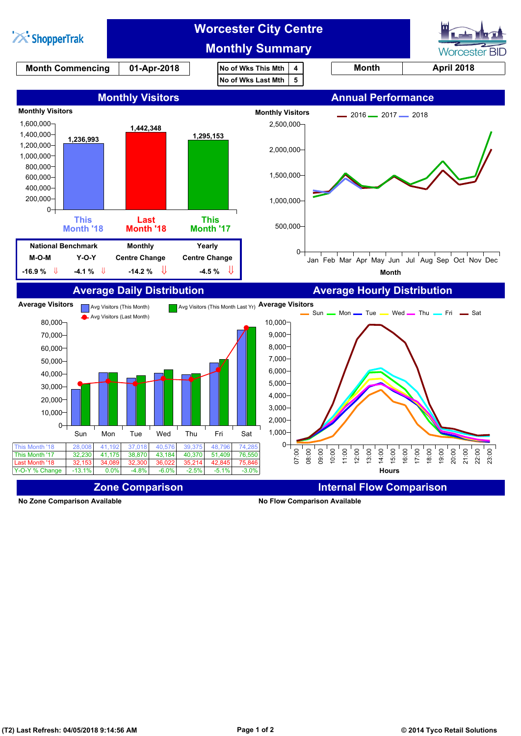

**No Zone Comparison Available No Flow Comparison Available**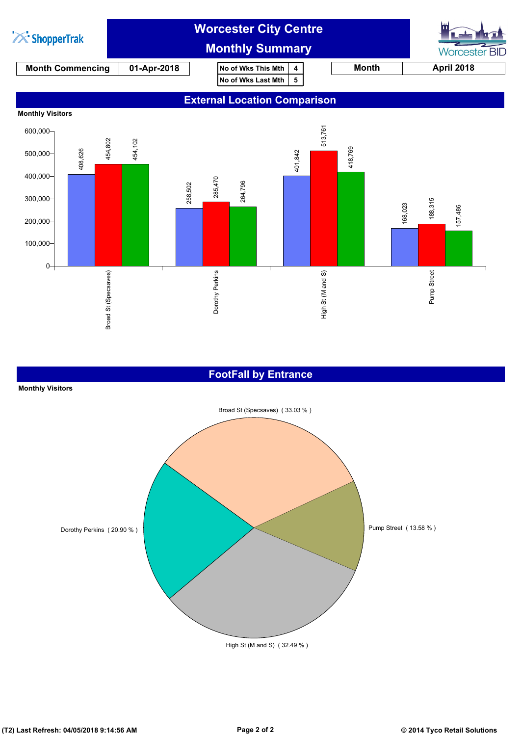

## **FootFall by Entrance**